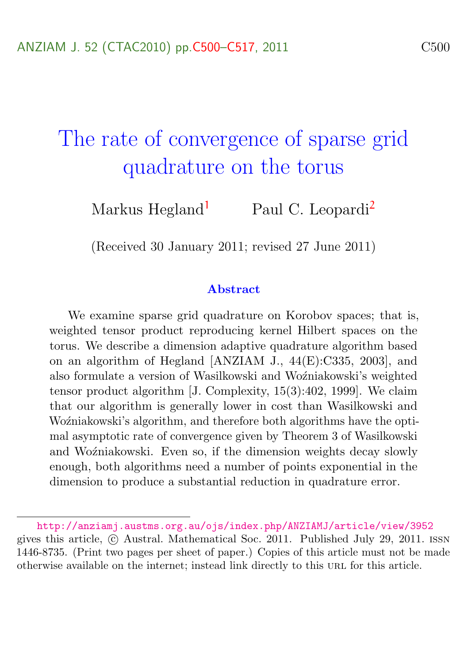# <span id="page-0-0"></span>The rate of convergence of sparse grid quadrature on the torus

Markus Hegland<sup>[1](#page-17-1)</sup> Paul C. Leopardi<sup>[2](#page-17-0)</sup>

(Received 30 January 2011; revised 27 June 2011)

#### Abstract

We examine sparse grid quadrature on Korobov spaces; that is, weighted tensor product reproducing kernel Hilbert spaces on the torus. We describe a dimension adaptive quadrature algorithm based on an algorithm of Hegland [ANZIAM J., 44(E):C335, 2003], and also formulate a version of Wasilkowski and Woźniakowski's weighted tensor product algorithm [J. Complexity, 15(3):402, 1999]. We claim that our algorithm is generally lower in cost than Wasilkowski and Woźniakowski's algorithm, and therefore both algorithms have the optimal asymptotic rate of convergence given by Theorem 3 of Wasilkowski and Woźniakowski. Even so, if the dimension weights decay slowly enough, both algorithms need a number of points exponential in the dimension to produce a substantial reduction in quadrature error.

<http://anziamj.austms.org.au/ojs/index.php/ANZIAMJ/article/view/3952> gives this article, c Austral. Mathematical Soc. 2011. Published July 29, 2011. issn 1446-8735. (Print two pages per sheet of paper.) Copies of this article must not be made otherwise available on the internet; instead link directly to this url for this article.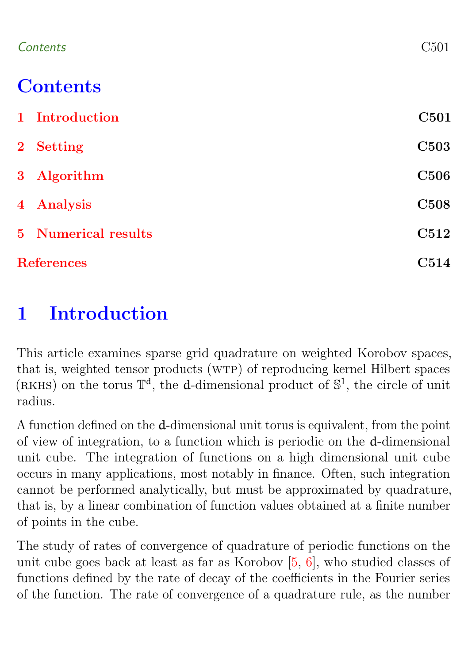<span id="page-1-1"></span>

| C501 |
|------|
|      |

# **Contents**

| 1 Introduction             | C501        |
|----------------------------|-------------|
| 2 Setting                  | <b>C503</b> |
| 3 Algorithm                | <b>C506</b> |
| 4 Analysis                 | <b>C508</b> |
| <b>5</b> Numerical results | C512        |
| <b>References</b>          | C514        |

# <span id="page-1-0"></span>1 Introduction

This article examines sparse grid quadrature on weighted Korobov spaces, that is, weighted tensor products (wtp) of reproducing kernel Hilbert spaces (RKHS) on the torus  $\mathbb{T}^d$ , the d-dimensional product of  $\mathbb{S}^1$ , the circle of unit radius.

A function defined on the d-dimensional unit torus is equivalent, from the point of view of integration, to a function which is periodic on the d-dimensional unit cube. The integration of functions on a high dimensional unit cube occurs in many applications, most notably in finance. Often, such integration cannot be performed analytically, but must be approximated by quadrature, that is, by a linear combination of function values obtained at a finite number of points in the cube.

The study of rates of convergence of quadrature of periodic functions on the unit cube goes back at least as far as Korobov [\[5,](#page-15-0) [6\]](#page-15-1), who studied classes of functions defined by the rate of decay of the coefficients in the Fourier series of the function. The rate of convergence of a quadrature rule, as the number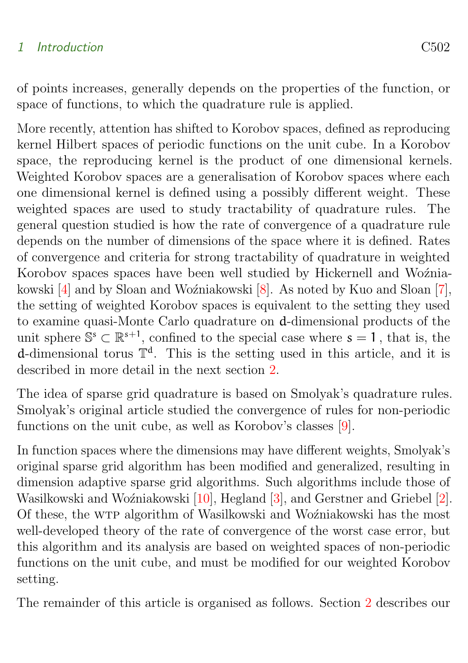### <span id="page-2-0"></span>1 Introduction C502

of points increases, generally depends on the properties of the function, or space of functions, to which the quadrature rule is applied.

More recently, attention has shifted to Korobov spaces, defined as reproducing kernel Hilbert spaces of periodic functions on the unit cube. In a Korobov space, the reproducing kernel is the product of one dimensional kernels. Weighted Korobov spaces are a generalisation of Korobov spaces where each one dimensional kernel is defined using a possibly different weight. These weighted spaces are used to study tractability of quadrature rules. The general question studied is how the rate of convergence of a quadrature rule depends on the number of dimensions of the space where it is defined. Rates of convergence and criteria for strong tractability of quadrature in weighted Korobov spaces spaces have been well studied by Hickernell and Woźniakowski  $[4]$  and by Sloan and Woźniakowski  $[8]$ . As noted by Kuo and Sloan  $[7]$ , the setting of weighted Korobov spaces is equivalent to the setting they used to examine quasi-Monte Carlo quadrature on d-dimensional products of the unit sphere  $\mathbb{S}^s \subset \mathbb{R}^{s+1}$ , confined to the special case where  $s = 1$ , that is, the d-dimensional torus  $\mathbb{T}^d$ . This is the setting used in this article, and it is described in more detail in the next section [2.](#page-3-0)

The idea of sparse grid quadrature is based on Smolyak's quadrature rules. Smolyak's original article studied the convergence of rules for non-periodic functions on the unit cube, as well as Korobov's classes [\[9\]](#page-16-2).

In function spaces where the dimensions may have different weights, Smolyak's original sparse grid algorithm has been modified and generalized, resulting in dimension adaptive sparse grid algorithms. Such algorithms include those of Wasilkowski and Woźniakowski [\[10\]](#page-16-3), Hegland [\[3\]](#page-15-3), and Gerstner and Griebel [\[2\]](#page-15-4). Of these, the WTP algorithm of Wasilkowski and Woźniakowski has the most well-developed theory of the rate of convergence of the worst case error, but this algorithm and its analysis are based on weighted spaces of non-periodic functions on the unit cube, and must be modified for our weighted Korobov setting.

The remainder of this article is organised as follows. Section [2](#page-3-0) describes our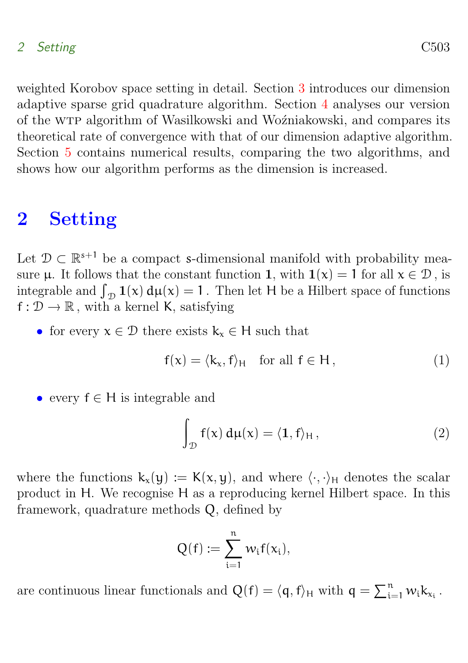#### 2 Setting C503

weighted Korobov space setting in detail. Section [3](#page-6-0) introduces our dimension adaptive sparse grid quadrature algorithm. Section [4](#page-8-0) analyses our version of the WTP algorithm of Wasilkowski and Woźniakowski, and compares its theoretical rate of convergence with that of our dimension adaptive algorithm. Section [5](#page-12-0) contains numerical results, comparing the two algorithms, and shows how our algorithm performs as the dimension is increased.

### <span id="page-3-0"></span>2 Setting

Let  $\mathcal{D} \subset \mathbb{R}^{s+1}$  be a compact s-dimensional manifold with probability measure  $\mu$ . It follows that the constant function 1, with  $1(\chi) = 1$  for all  $\chi \in \mathcal{D}$ , is integrable and  $\int_{\mathcal{D}} 1(x) d\mu(x) = 1$ . Then let H be a Hilbert space of functions  $f: \mathcal{D} \to \mathbb{R}$ , with a kernel K, satisfying

• for every  $x \in \mathcal{D}$  there exists  $k_x \in H$  such that

<span id="page-3-1"></span>
$$
f(x) = \langle k_x, f \rangle_H \quad \text{for all } f \in H,
$$
\n(1)

• every  $f \in H$  is integrable and

<span id="page-3-2"></span>
$$
\int_{\mathcal{D}} f(x) d\mu(x) = \langle 1, f \rangle_{H}, \qquad (2)
$$

where the functions  $k_x(y) := K(x, y)$ , and where  $\langle \cdot, \cdot \rangle_H$  denotes the scalar product in H. We recognise H as a reproducing kernel Hilbert space. In this framework, quadrature methods Q, defined by

$$
Q(f):=\sum_{i=1}^n\,w_if(x_i),
$$

are continuous linear functionals and  $Q(f) = \langle q, f \rangle_H$  with  $q = \sum_{i=1}^n w_i k_{x_i}$ .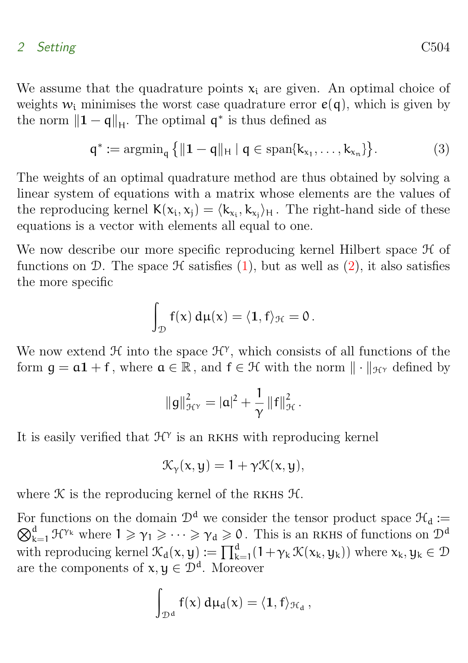#### 2 Setting C504

We assume that the quadrature points  $x_i$  are given. An optimal choice of weights  $w_i$  minimises the worst case quadrature error  $e(q)$ , which is given by the norm  $||\mathbf{1} - \mathbf{q}||_{\mathcal{H}}$ . The optimal  $\mathbf{q}^*$  is thus defined as

$$
q^* := \operatorname{argmin}_q \left\{ \| \mathbf{1} - q \|_H \mid q \in \operatorname{span}\{k_{x_1}, \dots, k_{x_n}\} \right\}.
$$
 (3)

The weights of an optimal quadrature method are thus obtained by solving a linear system of equations with a matrix whose elements are the values of the reproducing kernel  $K(x_i, x_j) = \langle k_{x_i}, k_{x_j} \rangle_H$ . The right-hand side of these equations is a vector with elements all equal to one.

We now describe our more specific reproducing kernel Hilbert space  $\mathcal H$  of functions on D. The space  $\mathcal H$  satisfies [\(1\)](#page-3-1), but as well as [\(2\)](#page-3-2), it also satisfies the more specific

<span id="page-4-0"></span>
$$
\int_{\mathcal{D}} f(x) d\mu(x) = \langle \mathbf{1}, f \rangle_{\mathcal{H}} = 0.
$$

We now extend  $\mathcal{H}$  into the space  $\mathcal{H}^{\gamma}$ , which consists of all functions of the form  $\mathfrak{g} = \mathfrak{a} \mathfrak{1} + \mathfrak{f}$ , where  $\mathfrak{a} \in \mathbb{R}$ , and  $\mathfrak{f} \in \mathcal{H}$  with the norm  $\|\cdot\|_{\mathcal{H}^{\gamma}}$  defined by

$$
\|g\|_{\mathcal{H}^{\gamma}}^2 = |a|^2 + \frac{1}{\gamma} \|f\|_{\mathcal{H}}^2.
$$

It is easily verified that  $\mathcal{H}^{\gamma}$  is an RKHS with reproducing kernel

$$
\mathcal{K}_{\gamma}(x,y)=1+\gamma\mathcal{K}(x,y),
$$

where  $K$  is the reproducing kernel of the RKHS  $H$ .

For functions on the domain  $\mathcal{D}^d$  we consider the tensor product space  $\mathcal{H}_d :=$  $\bigotimes_{k=1}^d \mathcal{H}^{\gamma_k}$  where  $1 \geqslant \gamma_1 \geqslant \cdots \geqslant \gamma_d \geqslant 0$ . This is an RKHS of functions on  $\mathcal{D}^d$ with reproducing kernel  $\mathcal{K}_d(x, y) := \prod_{k=1}^d (1 + \gamma_k \mathcal{K}(x_k, y_k))$  where  $x_k, y_k \in \mathcal{D}$ are the components of  $x, y \in \mathcal{D}^d$ . Moreover

$$
\int_{\mathcal{D}^d} f(x)\,d\mu_d(x) = \langle \mathbf{1}, f \rangle_{\mathcal{H}_d}\,,
$$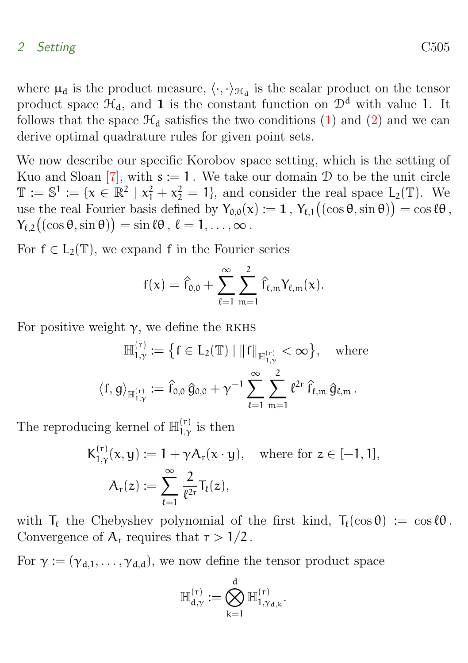#### <span id="page-5-0"></span>2 Setting C505

where  $\mu_d$  is the product measure,  $\langle \cdot, \cdot \rangle_{\mathcal{H}_d}$  is the scalar product on the tensor product space  $\mathcal{H}_d$ , and 1 is the constant function on  $\mathcal{D}^d$  with value 1. It follows that the space  $\mathcal{H}_{d}$  satisfies the two conditions [\(1\)](#page-3-1) and [\(2\)](#page-3-2) and we can derive optimal quadrature rules for given point sets.

We now describe our specific Korobov space setting, which is the setting of Kuo and Sloan [\[7\]](#page-16-1), with  $s := 1$ . We take our domain  $\mathcal D$  to be the unit circle  $\mathbb{T} := \mathbb{S}^1 := \{x \in \mathbb{R}^2 \mid x_1^2 + x_2^2 = 1\}$ , and consider the real space  $L_2(\mathbb{T})$ . We use the real Fourier basis defined by  $Y_{0,0}(x) := 1$ ,  $Y_{\ell,1}((\cos \theta, \sin \theta)) = \cos \ell \theta$ ,  $Y_{\ell,2}((\cos \theta, \sin \theta)) = \sin \ell \theta, \, \ell = 1, \ldots, \infty.$ 

For  $f \in L_2(\mathbb{T})$ , we expand f in the Fourier series

$$
f(x) = \hat{f}_{0,0} + \sum_{\ell=1}^{\infty} \sum_{m=1}^{2} \hat{f}_{\ell,m} Y_{\ell,m}(x).
$$

For positive weight  $\gamma$ , we define the RKHS

$$
\mathbb{H}_{1,\gamma}^{(r)} := \left\{ f \in L_2(\mathbb{T}) \mid \|f\|_{\mathbb{H}_{1,\gamma}^{(r)}} < \infty \right\}, \quad \text{where}
$$
  

$$
\left\langle f, g \right\rangle_{\mathbb{H}_{1,\gamma}^{(r)}} := \hat{f}_{0,0} \, \hat{g}_{0,0} + \gamma^{-1} \sum_{\ell=1}^{\infty} \sum_{m=1}^{2} \ell^{2r} \, \hat{f}_{\ell,m} \, \hat{g}_{\ell,m} \, .
$$

The reproducing kernel of  $\mathbb{H}^{(r)}_{1,\gamma}$  $\frac{1}{1,\gamma}$  is then

$$
K_{1,\gamma}^{(r)}(x,y) := 1 + \gamma A_r(x \cdot y), \quad \text{where for } z \in [-1,1],
$$

$$
A_r(z) := \sum_{\ell=1}^{\infty} \frac{2}{\ell^{2r}} T_{\ell}(z),
$$

with  $T_\ell$  the Chebyshev polynomial of the first kind,  $T_\ell(\cos \theta) := \cos \ell \theta$ . Convergence of  $A_r$  requires that  $r > 1/2$ .

For  $\gamma := (\gamma_{d,1}, \ldots, \gamma_{d,d})$ , we now define the tensor product space

$$
\mathbb{H}_{d,\gamma}^{(r)}:=\bigotimes_{k=1}^d\mathbb{H}_{1,\gamma_{d,k}}^{(r)}.
$$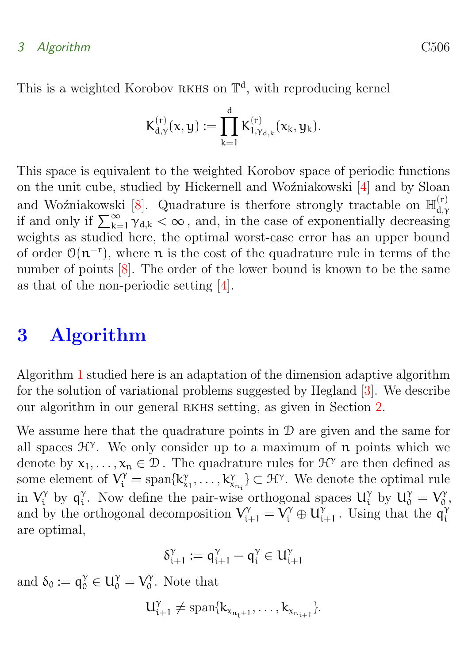### <span id="page-6-1"></span>3 Algorithm C506

This is a weighted Korobov RKHS on  $\mathbb{T}^d$ , with reproducing kernel

$$
K^{(r)}_{d,\gamma}(x,y):=\prod_{k=1}^d K^{(r)}_{1,\gamma_{d,k}}(x_k,y_k).
$$

This space is equivalent to the weighted Korobov space of periodic functions on the unit cube, studied by Hickernell and Woźniakowski [\[4\]](#page-15-2) and by Sloan and Woźniakowski [\[8\]](#page-16-0). Quadrature is therfore strongly tractable on  $\mathbb{H}_{d}^{(r)}$ d,γ if and only if  $\sum_{k=1}^{\infty} \gamma_{d,k} < \infty$ , and, in the case of exponentially decreasing weights as studied here, the optimal worst-case error has an upper bound of order  $O(n^{-r})$ , where n is the cost of the quadrature rule in terms of the number of points  $[8]$ . The order of the lower bound is known to be the same as that of the non-periodic setting [\[4\]](#page-15-2).

### <span id="page-6-0"></span>3 Algorithm

Algorithm [1](#page-7-0) studied here is an adaptation of the dimension adaptive algorithm for the solution of variational problems suggested by Hegland [\[3\]](#page-15-3). We describe our algorithm in our general rkhs setting, as given in Section [2.](#page-3-0)

We assume here that the quadrature points in  $\mathcal D$  are given and the same for all spaces  $\mathcal{H}^{\gamma}$ . We only consider up to a maximum of  $\boldsymbol{n}$  points which we denote by  $x_1, \ldots, x_n \in \mathcal{D}$ . The quadrature rules for  $\mathcal{H}^{\gamma}$  are then defined as some element of  $V_i^{\gamma} = \text{span}\{k_{x_1}^{\gamma}, \ldots, k_{x_{n_i}}^{\gamma}\} \subset \mathcal{H}^{\gamma}$ . We denote the optimal rule in  $V_i^{\gamma}$  $\eta_i^{\gamma}$  by  $q_i^{\gamma}$ <sup>γ</sup>. Now define the pair-wise orthogonal spaces  $U_i^{\gamma}$  $\gamma_i^{\gamma}$  by  $U_0^{\gamma} = V_0^{\gamma}$  $_{0}^{\gamma}$  , and by the orthogonal decomposition  $V_{i+1}^{\gamma} = V_i^{\gamma} \oplus U_i^{\gamma}$  $\tilde{q}_{i+1}^{\gamma}$ . Using that the  $\tilde{q}_i^{\gamma}$ i are optimal,

$$
\delta_{i+1}^\gamma:=q_{i+1}^\gamma-q_i^\gamma\in U_{i+1}^\gamma
$$

and  $\delta_0 := \mathsf{q}^\gamma_0 \in \mathsf{U}^\gamma_0 = \mathsf{V}^\gamma_0$  $_{0}^{\gamma}$ . Note that

$$
U_{i+1}^{\gamma}\neq \mathrm{span}\{k_{x_{n_i+1}},\ldots,k_{x_{n_{i+1}}}\}.
$$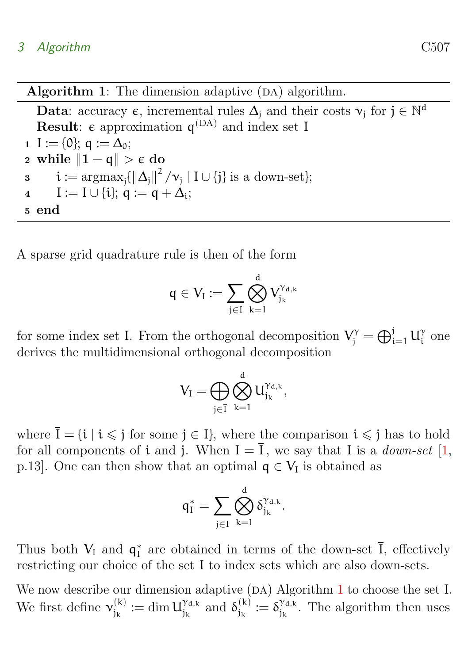<span id="page-7-1"></span>Algorithm 1: The dimension adaptive  $(DA)$  algorithm.

**Data**: accuracy  $\epsilon$ , incremental rules  $\Delta_j$  and their costs  $v_j$  for  $j \in \mathbb{N}^d$ **Result:**  $\epsilon$  approximation  $q^{(DA)}$  and index set I 1 I := {0};  $q := \Delta_0$ ; 2 while  $||1 - q|| > \epsilon$  do  $i := \operatorname{argmax}_{j} {\{\|\Delta_j\|^2 / \nu_j \mid I \cup \{j\} \text{ is a down-set}\}};$ 4  $I := I \cup \{i\}; q := q + \Delta_i;$ <sup>5</sup> end

A sparse grid quadrature rule is then of the form

$$
q\in V_I:=\sum_{j\in I}\bigotimes_{k=1}^d V_{j_k}^{\gamma_{d,k}}
$$

for some index set I. From the orthogonal decomposition  $V_j^{\gamma} = \bigoplus_{i=1}^j U_i^{\gamma}$  $\frac{\gamma}{i}$  one derives the multidimensional orthogonal decomposition

$$
V_I=\bigoplus_{j\in \overline{I}}\bigotimes_{k=1}^d U_{j_k}^{\gamma_{d,k}},
$$

where  $\bar{I} = \{i \mid i \leq j \text{ for some } j \in I\}$ , where the comparison  $i \leq j$  has to hold for all components of i and j. When  $I = \overline{I}$ , we say that I is a *down-set* [\[1,](#page-14-1) p.13]. One can then show that an optimal  $q \in V_I$  is obtained as

$$
q_1^*=\sum_{j\in \overline{I}}\bigotimes_{k=1}^d \delta_{j_k}^{\gamma_{d,k}}.
$$

Thus both  $V_I$  and  $q_I^*$  are obtained in terms of the down-set  $\overline{I}$ , effectively restricting our choice of the set I to index sets which are also down-sets.

<span id="page-7-0"></span>We now describe our dimension adaptive  $(DA)$  Algorithm [1](#page-7-0) to choose the set I. We first define  $v_{i_k}^{(k)}$  $j_k^{(k)} := \dim U_{j_k}^{\gamma_{d,k}}$  $\int_{j_k}^{\gamma_{d,k}}$  and  $\delta_{j_k}^{(k)}$  $j_k^{(k)} := \delta_{j_k}^{\gamma_{d,k}}$  $j_k^{\gamma_{d,k}}$ . The algorithm then uses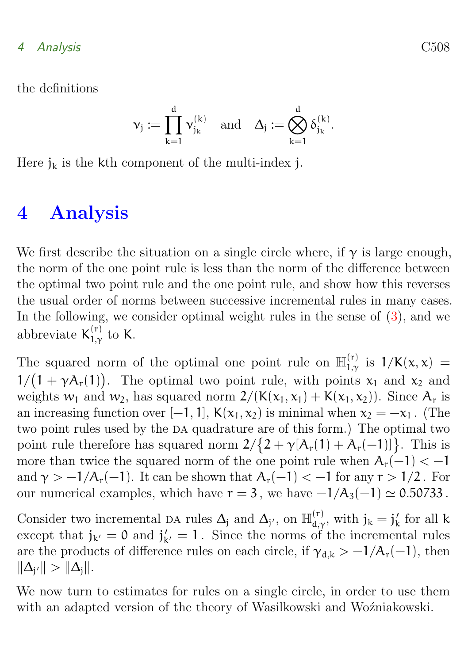the definitions

$$
\nu_j:=\prod_{k=1}^d \nu_{j_k}^{(k)} \quad \text{and} \quad \Delta_j:=\bigotimes_{k=1}^d \delta_{j_k}^{(k)}.
$$

Here  $j_k$  is the kth component of the multi-index j.

# <span id="page-8-0"></span>4 Analysis

We first describe the situation on a single circle where, if  $\gamma$  is large enough, the norm of the one point rule is less than the norm of the difference between the optimal two point rule and the one point rule, and show how this reverses the usual order of norms between successive incremental rules in many cases. In the following, we consider optimal weight rules in the sense of  $(3)$ , and we abbreviate  $K_{1,v}^{(r)}$  $_{1,\gamma}^{\text{(r)}}$  to K.

The squared norm of the optimal one point rule on  $\mathbb{H}^{(r)}_{1,\nu}$  $1/\chi^{(r)}_{1,\gamma}$  is  $1/K(x, x) =$  $1/(1 + \gamma A_r(1))$ . The optimal two point rule, with points  $x_1$  and  $x_2$  and weights  $w_1$  and  $w_2$ , has squared norm  $2/((K(x_1, x_1) + K(x_1, x_2))$ . Since  $A_r$  is an increasing function over [−1, 1],  $K(x_1, x_2)$  is minimal when  $x_2 = -x_1$ . (The two point rules used by the DA quadrature are of this form.) The optimal two point rule therefore has squared norm  $2/{2 + \gamma [A_r(1) + A_r(-1)]}$ . This is more than twice the squared norm of the one point rule when  $A_r(-1) < -1$ and  $\gamma > -1/A_r(-1)$ . It can be shown that  $A_r(-1) < -1$  for any  $r > 1/2$ . For our numerical examples, which have  $r = 3$ , we have  $-1/A_3(-1) \simeq 0.50733$ .

Consider two incremental DA rules  $\Delta_j$  and  $\Delta_{j'}$ , on  $\mathbb{H}_{d,\Delta}^{(r)}$  $j_k$ <sup>(r)</sup>, with  $j_k = j'_k$  for all k except that  $j_{k'} = 0$  and  $j'_{k'} = 1$ . Since the norms of the incremental rules are the products of difference rules on each circle, if  $\gamma_{d,k} > -1/A_r(-1)$ , then  $\|\Delta_{j'}\| > \|\Delta_j\|.$ 

We now turn to estimates for rules on a single circle, in order to use them with an adapted version of the theory of Wasilkowski and Woźniakowski.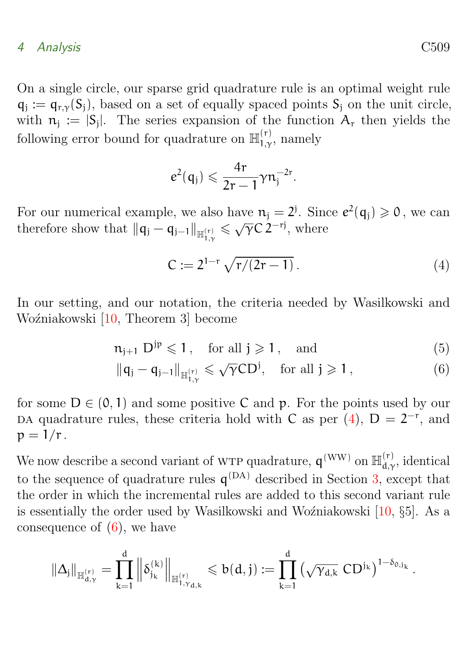<span id="page-9-2"></span>On a single circle, our sparse grid quadrature rule is an optimal weight rule  $q_j := q_{r,\gamma}(S_j)$ , based on a set of equally spaced points  $S_j$  on the unit circle, with  $n_j := |S_j|$ . The series expansion of the function  $A_r$  then yields the following error bound for quadrature on  $\mathbb{H}^{(r)}_{1,\gamma}$  $_{1,\gamma}^{(r)}$ , namely

$$
e^2(\mathfrak{q}_j) \leqslant \frac{4r}{2r-1} \gamma n_j^{-2r}.
$$

For our numerical example, we also have  $n_j = 2^j$ . Since  $e^2(q_j) \geq 0$ , we can therefore show that  $\|q_j - q_{j-1}\|_{\mathbb{H}_{1,\gamma}^{(r)}}$  $\leq \sqrt{\gamma} C 2^{-rj}$ , where

<span id="page-9-1"></span><span id="page-9-0"></span>
$$
C := 2^{1-r} \sqrt{r/(2r-1)}.
$$
 (4)

In our setting, and our notation, the criteria needed by Wasilkowski and Woźniakowski [\[10,](#page-16-3) Theorem 3] become

$$
n_{j+1} D^{jp} \leqslant 1, \quad \text{for all } j \geqslant 1, \quad \text{and} \tag{5}
$$

$$
\|q_j - q_{j-1}\|_{\mathbb{H}_{1,\gamma}^{(r)}} \leqslant \sqrt{\gamma} C D^j, \quad \text{for all } j \geqslant 1,
$$
 (6)

for some  $D \in (0, 1)$  and some positive C and p. For the points used by our DA quadrature rules, these criteria hold with C as per  $(4)$ ,  $D = 2^{-r}$ , and  $p = 1/r$ .

We now describe a second variant of WTP quadrature,  $q^{(WW)}$  on  $\mathbb{H}_{d}^{(r)}$  $d,\gamma$ , identical to the sequence of quadrature rules  $q^{(DA)}$  described in Section [3,](#page-6-0) except that the order in which the incremental rules are added to this second variant rule is essentially the order used by Wasilkowski and Wo $\zeta$ niakowski [\[10,](#page-16-3)  $\S5$ ]. As a consequence of  $(6)$ , we have

$$
\|\Delta_j\|_{\mathbb{H}_{d,\gamma}^{(r)}}=\prod_{k=1}^d\left\|\delta_{j_k}^{(k)}\right\|_{\mathbb{H}_{1,\gamma_{d,k}}^{(r)}}\leqslant b(d,j):=\prod_{k=1}^d\left(\sqrt{\gamma_{d,k}}\,\,CD^{j_k}\right)^{1-\delta_{0,j_k}}.
$$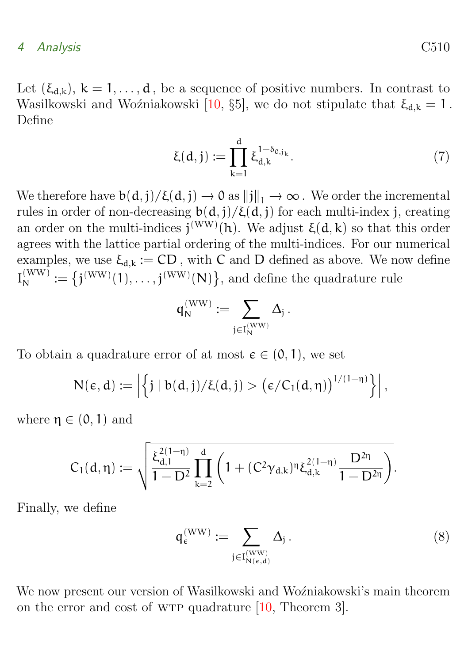<span id="page-10-2"></span>Let  $(\xi_{d,k})$ ,  $k = 1, \ldots, d$ , be a sequence of positive numbers. In contrast to Wasilkowski and Woźniakowski [\[10,](#page-16-3) §5], we do not stipulate that  $\xi_{d,k} = 1$ . Define

$$
\xi(d,j) := \prod_{k=1}^{d} \xi_{d,k}^{1-\delta_{0,j_k}}.
$$
 (7)

We therefore have  $b(d, j)/\xi(d, j) \to 0$  as  $||j||_1 \to \infty$ . We order the incremental rules in order of non-decreasing  $b(d, j)/ξ(d, j)$  for each multi-index j, creating an order on the multi-indices  $j^{(WW)}(h)$ . We adjust  $\xi(d, k)$  so that this order agrees with the lattice partial ordering of the multi-indices. For our numerical examples, we use  $\xi_{d,k} := CD$ , with C and D defined as above. We now define  $I_N^{(WW)} := \{j^{(WW)}(1), \ldots, j^{(WW)}(N)\},\$ and define the quadrature rule

$$
\mathsf{q}_N^{(\mathrm{WW})} \coloneqq \sum_{\mathfrak{j} \in I_N^{(\mathrm{WW})}} \Delta_\mathfrak{j} \,.
$$

To obtain a quadrature error of at most  $\epsilon \in (0, 1)$ , we set

$$
N(\varepsilon, d) := \left| \left\{ j \mid b(d, j) / \xi(d, j) > \left( \varepsilon / C_1(d, \eta) \right)^{1/(1-\eta)} \right\} \right|,
$$

where  $\eta \in (0, 1)$  and

$$
C_1(d,\eta):=\sqrt{\frac{\xi_{d,1}^{2(1-\eta)}}{1-D^2}\prod_{k=2}^d\left(1+(C^2\gamma_{d,k})^{\eta}\xi_{d,k}^{2(1-\eta)}\frac{D^{2\eta}}{1-D^{2\eta}}\right)}.
$$

Finally, we define

<span id="page-10-0"></span>
$$
q_{\varepsilon}^{(\text{WW})} := \sum_{j \in I_{N(\varepsilon,d)}^{(\text{WW})}} \Delta_j.
$$
 (8)

<span id="page-10-1"></span>We now present our version of Wasilkowski and Wozniakowski's main theorem on the error and cost of wtp quadrature [\[10,](#page-16-3) Theorem 3].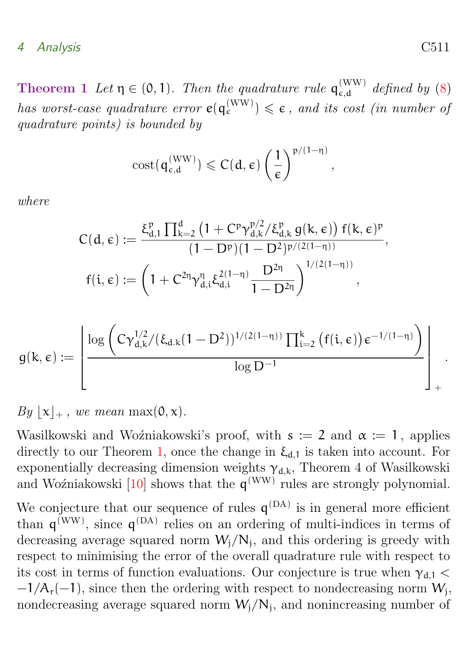<span id="page-11-0"></span>**Theorem 1** Let  $\eta \in (0,1)$ . Then the quadrature rule  $q_{\epsilon,d}^{(WW)}$  $\int_{\epsilon,d}^{(WW)} \epsilon^{m}$  defined by [\(8\)](#page-10-0) has worst-case quadrature error  $e(q_{\varepsilon}^{(\rm WW)}) \leqslant \varepsilon$ , and its cost (in number of quadrature points) is bounded by

$$
\mathrm{cost}(q_{\varepsilon,d}^{(\mathrm{WW})}) \leqslant C(d,\varepsilon) \left(\frac{1}{\varepsilon}\right)^{p/(1-\eta)}
$$

,

where

$$
\begin{aligned} C(d,\varepsilon):&=\frac{\xi_{d,1}^{\mathfrak{p}}\prod_{k=2}^{d}\left(1+\mathrm{C}^{\mathfrak{p}}\gamma_{d,k}^{\mathfrak{p}/2}/\xi_{d,k}^{\mathfrak{p}}\,g(k,\varepsilon)\right)f(k,\varepsilon)^{\mathfrak{p}}}{(1-\mathrm{D}^{\mathfrak{p}})(1-\mathrm{D}^{2})^{p/(2(1-\eta))}},\\ f(i,\varepsilon):&=\left(1+\mathrm{C}^{2\eta}\gamma_{d,i}^{\eta}\xi_{d,i}^{2(1-\eta)}\frac{\mathrm{D}^{2\eta}}{1-\mathrm{D}^{2\eta}}\right)^{1/(2(1-\eta))}, \end{aligned}
$$

$$
g(k,\varepsilon):=\left\lfloor \frac{\log\left(C\gamma_{d,k}^{1/2}/(\xi_{d.k}(1-D^2))^{1/(2(1-\eta))}\prod_{i=2}^k\left(f(i,\varepsilon)\right)\varepsilon^{-1/(1-\eta)}\right)}{\log D^{-1}}\right\rfloor_+
$$

$$
By \lfloor x \rfloor_+
$$
, we mean max(0, x).

Wasilkowski and Woźniakowski's proof, with  $s := 2$  and  $\alpha := 1$ , applies directly to our Theorem [1,](#page-10-1) once the change in  $\xi_{d,1}$  is taken into account. For exponentially decreasing dimension weights  $\gamma_{d,k}$ , Theorem 4 of Wasilkowski and Woźniakowski  $[10]$  shows that the  $q^{(WW)}$  rules are strongly polynomial.

We conjecture that our sequence of rules  $q^{(DA)}$  is in general more efficient than  $q^{(WW)}$ , since  $q^{(DA)}$  relies on an ordering of multi-indices in terms of decreasing average squared norm  $W_j/N_j$ , and this ordering is greedy with respect to minimising the error of the overall quadrature rule with respect to its cost in terms of function evaluations. Our conjecture is true when  $\gamma_{d,1}$  <  $-1/A_r(-1)$ , since then the ordering with respect to nondecreasing norm  $W_j$ , nondecreasing average squared norm  $W_j/N_j$ , and nonincreasing number of

.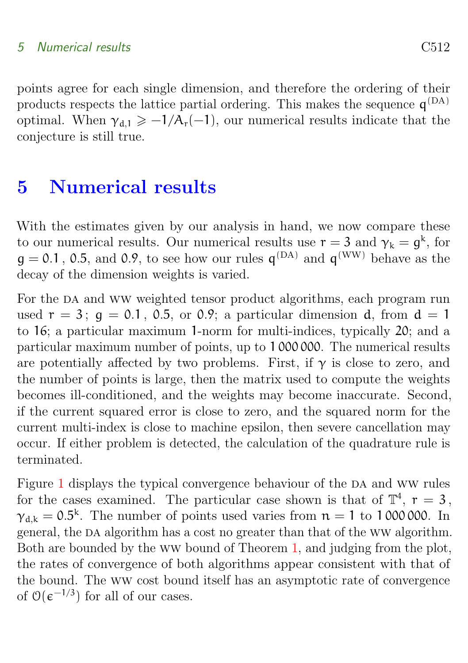#### 5 Numerical results C512

points agree for each single dimension, and therefore the ordering of their products respects the lattice partial ordering. This makes the sequence  $q^{(DA)}$ optimal. When  $\gamma_{d,1} \geq -1/A_r(-1)$ , our numerical results indicate that the conjecture is still true.

## <span id="page-12-0"></span>5 Numerical results

With the estimates given by our analysis in hand, we now compare these to our numerical results. Our numerical results use  $r = 3$  and  $\gamma_k = g^k$ , for  $g = 0.1$ , 0.5, and 0.9, to see how our rules  $q^{(DA)}$  and  $q^{(WW)}$  behave as the decay of the dimension weights is varied.

For the DA and WW weighted tensor product algorithms, each program run used  $r = 3$ ;  $q = 0.1$ , 0.5, or 0.9; a particular dimension d, from  $d = 1$ to 16; a particular maximum 1-norm for multi-indices, typically 20; and a particular maximum number of points, up to 1 000 000. The numerical results are potentially affected by two problems. First, if  $\gamma$  is close to zero, and the number of points is large, then the matrix used to compute the weights becomes ill-conditioned, and the weights may become inaccurate. Second, if the current squared error is close to zero, and the squared norm for the current multi-index is close to machine epsilon, then severe cancellation may occur. If either problem is detected, the calculation of the quadrature rule is terminated.

Figure [1](#page-13-0) displays the typical convergence behaviour of the DA and WW rules for the cases examined. The particular case shown is that of  $\mathbb{T}^4$ ,  $r = 3$ ,  $\gamma_{d,k} = 0.5^k$ . The number of points used varies from  $n = 1$  to 1000000. In general, the DA algorithm has a cost no greater than that of the WW algorithm. Both are bounded by the ww bound of Theorem [1,](#page-10-1) and judging from the plot, the rates of convergence of both algorithms appear consistent with that of the bound. The ww cost bound itself has an asymptotic rate of convergence of  $\mathcal{O}(\epsilon^{-1/3})$  for all of our cases.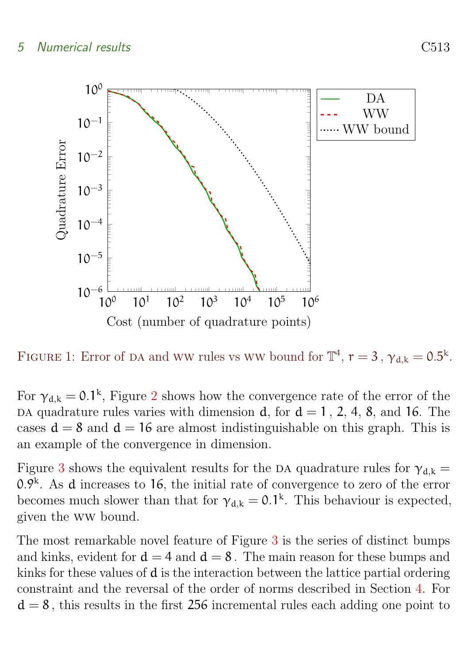

<span id="page-13-0"></span>FIGURE 1: Error of DA and WW rules vs WW bound for  $\mathbb{T}^4$ ,  $r = 3$ ,  $\gamma_{d,k} = 0.5^k$ .

For  $\gamma_{d,k} = 0.1^k$ , Figure [2](#page-14-2) shows how the convergence rate of the error of the DA quadrature rules varies with dimension d, for  $d = 1$ , 2, 4, 8, and 16. The cases  $d = 8$  and  $d = 16$  are almost indistinguishable on this graph. This is an example of the convergence in dimension.

Figure [3](#page-15-5) shows the equivalent results for the DA quadrature rules for  $\gamma_{d,k} =$  $0.9<sup>k</sup>$ . As d increases to 16, the initial rate of convergence to zero of the error becomes much slower than that for  $\gamma_{d,k} = 0.1^k$ . This behaviour is expected, given the ww bound.

The most remarkable novel feature of Figure [3](#page-15-5) is the series of distinct bumps and kinks, evident for  $d = 4$  and  $d = 8$ . The main reason for these bumps and kinks for these values of d is the interaction between the lattice partial ordering constraint and the reversal of the order of norms described in Section [4.](#page-8-0) For  $d = 8$ , this results in the first 256 incremental rules each adding one point to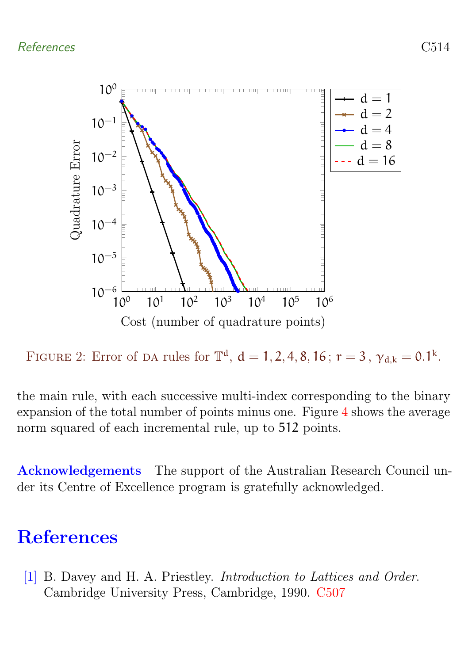

<span id="page-14-2"></span>FIGURE 2: Error of DA rules for  $\mathbb{T}^d$ ,  $d = 1, 2, 4, 8, 16$ ;  $r = 3$ ,  $\gamma_{d,k} = 0.1^k$ .

the main rule, with each successive multi-index corresponding to the binary expansion of the total number of points minus one. Figure [4](#page-16-4) shows the average norm squared of each incremental rule, up to 512 points.

Acknowledgements The support of the Australian Research Council under its Centre of Excellence program is gratefully acknowledged.

# <span id="page-14-0"></span>**References**

<span id="page-14-1"></span>[1] B. Davey and H. A. Priestley. Introduction to Lattices and Order. Cambridge University Press, Cambridge, 1990. [C507](#page-7-1)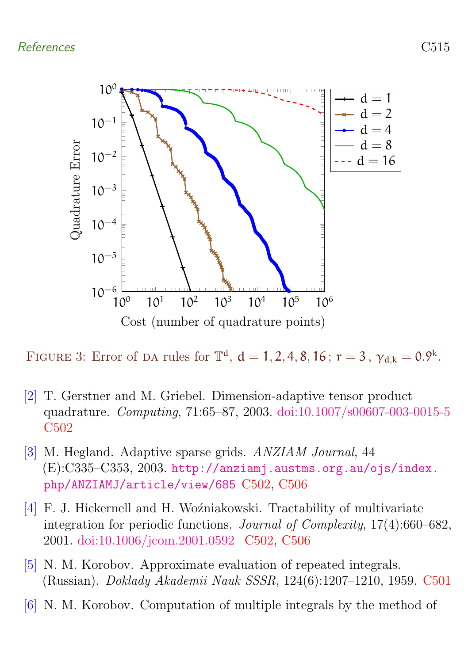### References C515



<span id="page-15-5"></span>FIGURE 3: Error of DA rules for  $\mathbb{T}^d$ ,  $d = 1, 2, 4, 8, 16$ ;  $r = 3$ ,  $\gamma_{d,k} = 0.9^k$ .

- <span id="page-15-4"></span>[2] T. Gerstner and M. Griebel. Dimension-adaptive tensor product quadrature. Computing, 71:65–87, 2003. [doi:10.1007/s00607-003-0015-5](http://dx.doi.org/10.1007/s00607-003-0015-5) [C502](#page-2-0)
- <span id="page-15-3"></span>[3] M. Hegland. Adaptive sparse grids. ANZIAM Journal, 44 (E):C335–C353, 2003. [http://anziamj.austms.org.au/ojs/index.](http://anziamj.austms.org.au/ojs/index.php/ANZIAMJ/article/view/685) [php/ANZIAMJ/article/view/685](http://anziamj.austms.org.au/ojs/index.php/ANZIAMJ/article/view/685) [C502,](#page-2-0) [C506](#page-6-1)
- <span id="page-15-2"></span>[4] F. J. Hickernell and H. Woźniakowski. Tractability of multivariate integration for periodic functions. Journal of Complexity, 17(4):660–682, 2001. [doi:10.1006/jcom.2001.0592](http://dx.doi.org/10.1006/jcom.2001.0592 ) [C502,](#page-2-0) [C506](#page-6-1)
- <span id="page-15-0"></span>[5] N. M. Korobov. Approximate evaluation of repeated integrals. (Russian). Doklady Akademii Nauk SSSR, 124(6):1207–1210, 1959. [C501](#page-1-1)
- <span id="page-15-1"></span>[6] N. M. Korobov. Computation of multiple integrals by the method of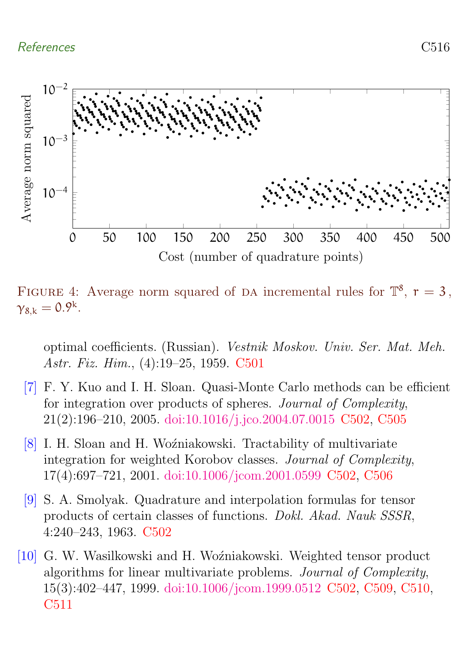

<span id="page-16-4"></span>FIGURE 4: Average norm squared of DA incremental rules for  $\mathbb{T}^8$ ,  $r = 3$ ,  $\gamma_{8,k}=0.9^k$ .

optimal coefficients. (Russian). Vestnik Moskov. Univ. Ser. Mat. Meh. Astr. Fiz. Him., (4):19–25, 1959. [C501](#page-1-1)

- <span id="page-16-1"></span>[7] F. Y. Kuo and I. H. Sloan. Quasi-Monte Carlo methods can be efficient for integration over products of spheres. Journal of Complexity, 21(2):196–210, 2005. [doi:10.1016/j.jco.2004.07.0015](http://dx.doi.org/10.1016/j.jco.2004.07.0015) [C502,](#page-2-0) [C505](#page-5-0)
- <span id="page-16-0"></span>[8] I. H. Sloan and H. Woźniakowski. Tractability of multivariate integration for weighted Korobov classes. Journal of Complexity, 17(4):697–721, 2001. [doi:10.1006/jcom.2001.0599](http://dx.doi.org/10.1006/jcom.2001.0599) [C502,](#page-2-0) [C506](#page-6-1)
- <span id="page-16-2"></span>[9] S. A. Smolyak. Quadrature and interpolation formulas for tensor products of certain classes of functions. Dokl. Akad. Nauk SSSR, 4:240–243, 1963. [C502](#page-2-0)
- <span id="page-16-3"></span>[10] G. W. Wasilkowski and H. Woźniakowski. Weighted tensor product algorithms for linear multivariate problems. Journal of Complexity, 15(3):402–447, 1999. [doi:10.1006/jcom.1999.0512](http://dx.doi.org/10.1006/jcom.1999.0512) [C502,](#page-2-0) [C509,](#page-9-2) [C510,](#page-10-2) [C511](#page-11-0)